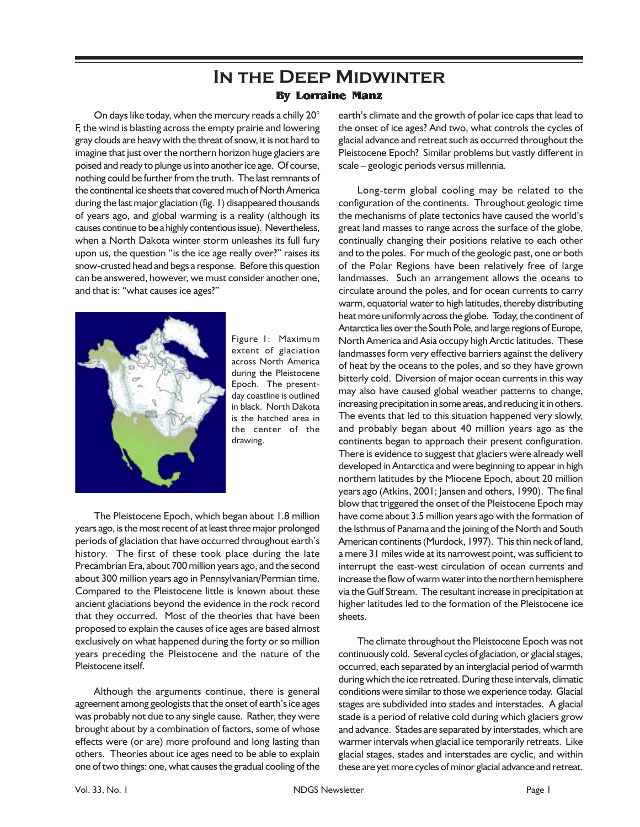## **In the Deep Midwinter By Lorraine Manz**

On days like today, when the mercury reads a chilly 20° F, the wind is blasting across the empty prairie and lowering gray clouds are heavy with the threat of snow, it is not hard to imagine that just over the northern horizon huge glaciers are poised and ready to plunge us into another ice age. Of course, nothing could be further from the truth. The last remnants of the continental ice sheets that covered much of North America during the last major glaciation (fig. 1) disappeared thousands of years ago, and global warming is a reality (although its causes continue to be a highly contentious issue). Nevertheless, when a North Dakota winter storm unleashes its full fury upon us, the question "is the ice age really over?" raises its snow-crusted head and begs a response. Before this question can be answered, however, we must consider another one, and that is: "what causes ice ages?"



Figure 1: Maximum extent of glaciation across North America during the Pleistocene Epoch. The presentday coastline is outlined in black. North Dakota is the hatched area in the center of the drawing.

The Pleistocene Epoch, which began about 1.8 million years ago, is the most recent of at least three major prolonged periods of glaciation that have occurred throughout earth's history. The first of these took place during the late Precambrian Era, about 700 million years ago, and the second about 300 million years ago in Pennsylvanian/Permian time. Compared to the Pleistocene little is known about these ancient glaciations beyond the evidence in the rock record that they occurred. Most of the theories that have been proposed to explain the causes of ice ages are based almost exclusively on what happened during the forty or so million years preceding the Pleistocene and the nature of the Pleistocene itself.

Although the arguments continue, there is general agreement among geologists that the onset of earth's ice ages was probably not due to any single cause. Rather, they were brought about by a combination of factors, some of whose effects were (or are) more profound and long lasting than others. Theories about ice ages need to be able to explain one of two things: one, what causes the gradual cooling of the

earth's climate and the growth of polar ice caps that lead to the onset of ice ages? And two, what controls the cycles of glacial advance and retreat such as occurred throughout the Pleistocene Epoch? Similar problems but vastly different in scale – geologic periods versus millennia.

Long-term global cooling may be related to the configuration of the continents. Throughout geologic time the mechanisms of plate tectonics have caused the world's great land masses to range across the surface of the globe, continually changing their positions relative to each other and to the poles. For much of the geologic past, one or both of the Polar Regions have been relatively free of large landmasses. Such an arrangement allows the oceans to circulate around the poles, and for ocean currents to carry warm, equatorial water to high latitudes, thereby distributing heat more uniformly across the globe. Today, the continent of Antarctica lies over the South Pole, and large regions of Europe, North America and Asia occupy high Arctic latitudes. These landmasses form very effective barriers against the delivery of heat by the oceans to the poles, and so they have grown bitterly cold. Diversion of major ocean currents in this way may also have caused global weather patterns to change, increasing precipitation in some areas, and reducing it in others. The events that led to this situation happened very slowly, and probably began about 40 million years ago as the continents began to approach their present configuration. There is evidence to suggest that glaciers were already well developed in Antarctica and were beginning to appear in high northern latitudes by the Miocene Epoch, about 20 million years ago (Atkins, 2001; Jansen and others, 1990). The final blow that triggered the onset of the Pleistocene Epoch may have come about 3.5 million years ago with the formation of the Isthmus of Panama and the joining of the North and South American continents (Murdock, 1997). This thin neck of land, a mere 31 miles wide at its narrowest point, was sufficient to interrupt the east-west circulation of ocean currents and increase the flow of warm water into the northern hemisphere via the Gulf Stream. The resultant increase in precipitation at higher latitudes led to the formation of the Pleistocene ice sheets.

The climate throughout the Pleistocene Epoch was not continuously cold. Several cycles of glaciation, or glacial stages, occurred, each separated by an interglacial period of warmth during which the ice retreated. During these intervals, climatic conditions were similar to those we experience today. Glacial stages are subdivided into stades and interstades. A glacial stade is a period of relative cold during which glaciers grow and advance. Stades are separated by interstades, which are warmer intervals when glacial ice temporarily retreats. Like glacial stages, stades and interstades are cyclic, and within these are yet more cycles of minor glacial advance and retreat.